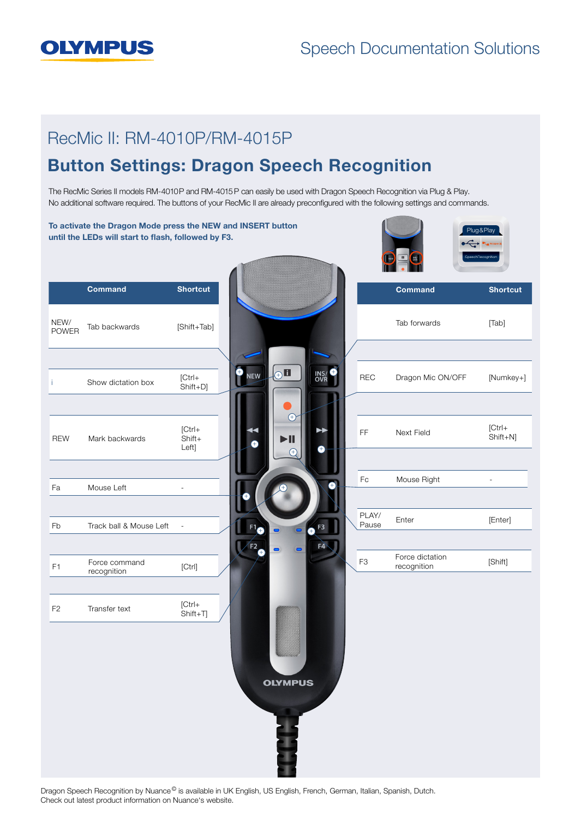## **OLYMPUS**

#### Speech Documentation Solutions

# The RecMic Series II models RM-4010P and RM-4015 P can easily be used with Dragon Speech Recognition via Plug & Play. No additional software required. The buttons of your RecMic II are already preconfigured with the following settings and commands. Button Settings: Dragon Speech Recognition RecMic II: RM-4010P/RM-4015P

To activate the Dragon Mode press the NEW and INSERT button Plug&Play Plug&Play until the LEDs will start to flash, followed by F3. Served **Editor** Inst **SpeechRecognition Command Shortcut Command Shortcut** Plug&Play Pluga Pluga Pluga Pluga Pluga Pluga Pluga Pluga Pluga Pluga Pluga Pluga Pluga Pluga Pluga Pluga Pluga Pluga Pl<br>Pluga Pluga Pluga Pluga Pluga Pluga Pluga Pluga Pluga Pluga Pluga Pluga Pluga Pluga Pluga Pluga Pluga Pluga Pl NEW/<br>POWER Tab forwards [Tab] Tab backwards [Shift+Tab]  $\Box$ + + **NEW INS/**<br>OVR REC Dragon Mic ON/OFF [Numkey+] i Show dictation box  $[Ctr]_+$ Shift+D]  $\oplus$ [Ctrl+ FF Next Field [Ctrl+ Shift+N] REW Mark backwards Shift+  $\blacktriangleright$ ll Left] +  $\sqrt{+}$ Fc Mouse Right Fa Mouse Left -+ PLAY/ PLAY/ Enter [Enter] Fb Track ball & Mouse Left -+ + F4 + F<sub>3</sub> Force dictation rorce dictation<br>recognition [Shift] F1 Force command rorce command<br>recognition [Ctrl] F2 Transfer text [Ctrl+ Shift+T] **OLYMPUS** 

Dragon Speech Recognition by Nuance<sup>®</sup> is available in UK English, US English, French, German, Italian, Spanish, Dutch. Check out latest product information on Nuance's website.